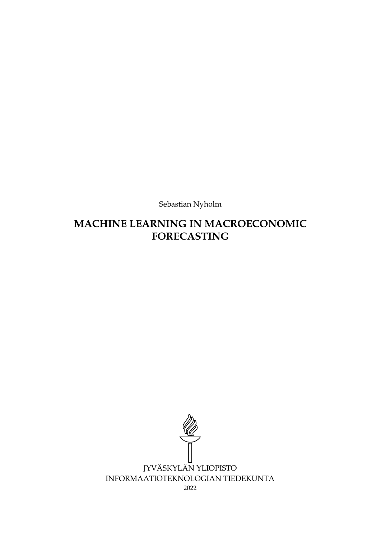Sebastian Nyholm

# **MACHINE LEARNING IN MACROECONOMIC FORECASTING**

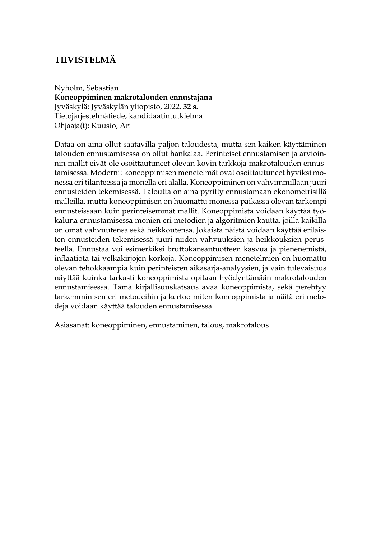# **TIIVISTELMÄ**

Nyholm, Sebastian **Koneoppiminen makrotalouden ennustajana** Jyväskylä: Jyväskylän yliopisto, 2022, **32 s.** Tietojärjestelmätiede, kandidaatintutkielma Ohjaaja(t): Kuusio, Ari

Dataa on aina ollut saatavilla paljon taloudesta, mutta sen kaiken käyttäminen talouden ennustamisessa on ollut hankalaa. Perinteiset ennustamisen ja arvioinnin mallit eivät ole osoittautuneet olevan kovin tarkkoja makrotalouden ennustamisessa. Modernit koneoppimisen menetelmät ovat osoittautuneet hyviksi monessa eri tilanteessa ja monella eri alalla. Koneoppiminen on vahvimmillaan juuri ennusteiden tekemisessä. Taloutta on aina pyritty ennustamaan ekonometrisillä malleilla, mutta koneoppimisen on huomattu monessa paikassa olevan tarkempi ennusteissaan kuin perinteisemmät mallit. Koneoppimista voidaan käyttää työkaluna ennustamisessa monien eri metodien ja algoritmien kautta, joilla kaikilla on omat vahvuutensa sekä heikkoutensa. Jokaista näistä voidaan käyttää erilaisten ennusteiden tekemisessä juuri niiden vahvuuksien ja heikkouksien perusteella. Ennustaa voi esimerkiksi bruttokansantuotteen kasvua ja pienenemistä, inflaatiota tai velkakirjojen korkoja. Koneoppimisen menetelmien on huomattu olevan tehokkaampia kuin perinteisten aikasarja-analyysien, ja vain tulevaisuus näyttää kuinka tarkasti koneoppimista opitaan hyödyntämään makrotalouden ennustamisessa. Tämä kirjallisuuskatsaus avaa koneoppimista, sekä perehtyy tarkemmin sen eri metodeihin ja kertoo miten koneoppimista ja näitä eri metodeja voidaan käyttää talouden ennustamisessa.

Asiasanat: koneoppiminen, ennustaminen, talous, makrotalous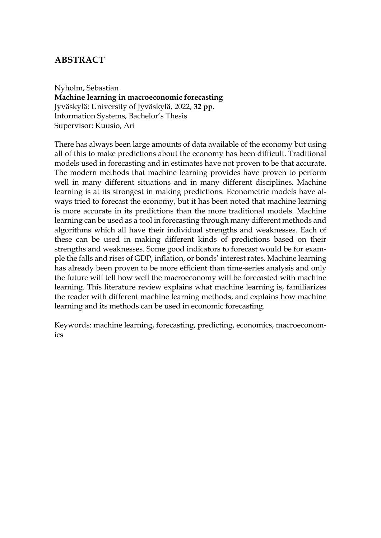## **ABSTRACT**

Nyholm, Sebastian **Machine learning in macroeconomic forecasting** Jyväskylä: University of Jyväskylä, 2022, **32 pp.** Information Systems, Bachelor's Thesis Supervisor: Kuusio, Ari

There has always been large amounts of data available of the economy but using all of this to make predictions about the economy has been difficult. Traditional models used in forecasting and in estimates have not proven to be that accurate. The modern methods that machine learning provides have proven to perform well in many different situations and in many different disciplines. Machine learning is at its strongest in making predictions. Econometric models have always tried to forecast the economy, but it has been noted that machine learning is more accurate in its predictions than the more traditional models. Machine learning can be used as a tool in forecasting through many different methods and algorithms which all have their individual strengths and weaknesses. Each of these can be used in making different kinds of predictions based on their strengths and weaknesses. Some good indicators to forecast would be for example the falls and rises of GDP, inflation, or bonds' interest rates. Machine learning has already been proven to be more efficient than time-series analysis and only the future will tell how well the macroeconomy will be forecasted with machine learning. This literature review explains what machine learning is, familiarizes the reader with different machine learning methods, and explains how machine learning and its methods can be used in economic forecasting.

Keywords: machine learning, forecasting, predicting, economics, macroeconomics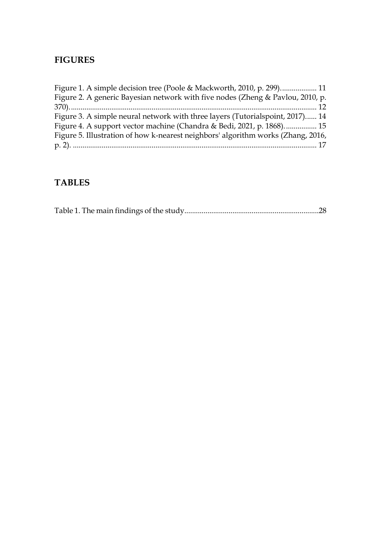## **FIGURES**

| Figure 2. A generic Bayesian network with five nodes (Zheng & Pavlou, 2010, p.   |  |
|----------------------------------------------------------------------------------|--|
|                                                                                  |  |
| Figure 3. A simple neural network with three layers (Tutorialspoint, 2017) 14    |  |
| Figure 4. A support vector machine (Chandra & Bedi, 2021, p. 1868) 15            |  |
| Figure 5. Illustration of how k-nearest neighbors' algorithm works (Zhang, 2016, |  |
|                                                                                  |  |

# **TABLES**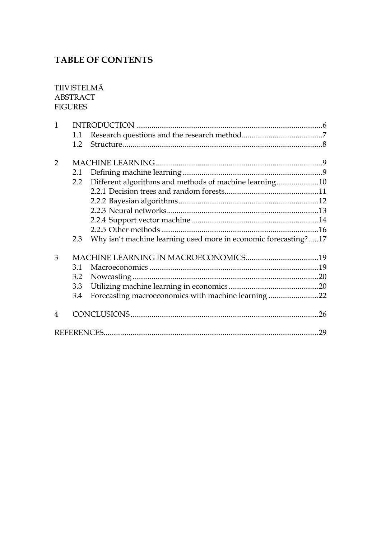# **TABLE OF CONTENTS**

### TIIVISTELMÄ **ABSTRACT FIGURES**

| 1                        |              |                                                                 |    |
|--------------------------|--------------|-----------------------------------------------------------------|----|
|                          | 1.1          |                                                                 |    |
|                          | 1.2          |                                                                 |    |
| $\mathcal{P}$            |              |                                                                 |    |
|                          | 2.1          |                                                                 |    |
|                          | $2.2\degree$ | Different algorithms and methods of machine learning10          |    |
|                          |              |                                                                 |    |
|                          |              |                                                                 |    |
|                          |              |                                                                 |    |
|                          |              |                                                                 |    |
|                          |              |                                                                 |    |
|                          | 2.3          | Why isn't machine learning used more in economic forecasting?17 |    |
| 3                        |              |                                                                 |    |
|                          | 3.1          |                                                                 |    |
|                          | 3.2          |                                                                 |    |
|                          | 3.3          |                                                                 |    |
|                          | 3.4          | Forecasting macroeconomics with machine learning 22             |    |
| $\overline{\mathcal{A}}$ |              |                                                                 |    |
|                          |              |                                                                 | 29 |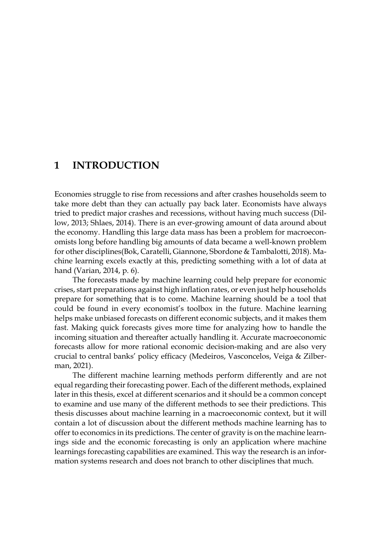## <span id="page-5-0"></span>**1 INTRODUCTION**

Economies struggle to rise from recessions and after crashes households seem to take more debt than they can actually pay back later. Economists have always tried to predict major crashes and recessions, without having much success (Dillow, 2013; Shlaes, 2014). There is an ever-growing amount of data around about the economy. Handling this large data mass has been a problem for macroeconomists long before handling big amounts of data became a well-known problem for other disciplines(Bok, Caratelli, Giannone, Sbordone & Tambalotti, 2018). Machine learning excels exactly at this, predicting something with a lot of data at hand (Varian, 2014, p. 6).

The forecasts made by machine learning could help prepare for economic crises, start preparations against high inflation rates, or even just help households prepare for something that is to come. Machine learning should be a tool that could be found in every economist's toolbox in the future. Machine learning helps make unbiased forecasts on different economic subjects, and it makes them fast. Making quick forecasts gives more time for analyzing how to handle the incoming situation and thereafter actually handling it. Accurate macroeconomic forecasts allow for more rational economic decision-making and are also very crucial to central banks' policy efficacy (Medeiros, Vasconcelos, Veiga & Zilberman, 2021).

The different machine learning methods perform differently and are not equal regarding their forecasting power. Each of the different methods, explained later in this thesis, excel at different scenarios and it should be a common concept to examine and use many of the different methods to see their predictions. This thesis discusses about machine learning in a macroeconomic context, but it will contain a lot of discussion about the different methods machine learning has to offer to economics in its predictions. The center of gravity is on the machine learnings side and the economic forecasting is only an application where machine learnings forecasting capabilities are examined. This way the research is an information systems research and does not branch to other disciplines that much.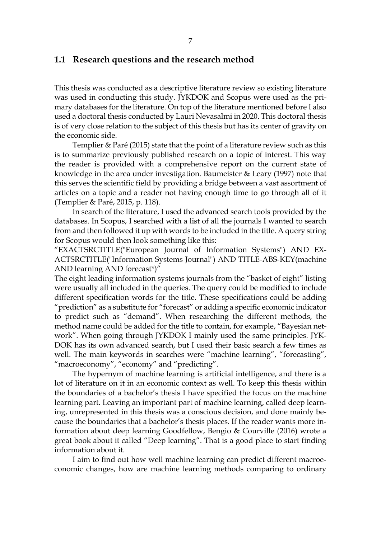### <span id="page-6-0"></span>**1.1 Research questions and the research method**

This thesis was conducted as a descriptive literature review so existing literature was used in conducting this study. JYKDOK and Scopus were used as the primary databases for the literature. On top of the literature mentioned before I also used a doctoral thesis conducted by Lauri Nevasalmi in 2020. This doctoral thesis is of very close relation to the subject of this thesis but has its center of gravity on the economic side.

Templier & Paré (2015) state that the point of a literature review such as this is to summarize previously published research on a topic of interest. This way the reader is provided with a comprehensive report on the current state of knowledge in the area under investigation. Baumeister & Leary (1997) note that this serves the scientific field by providing a bridge between a vast assortment of articles on a topic and a reader not having enough time to go through all of it (Templier & Paré, 2015, p. 118).

In search of the literature, I used the advanced search tools provided by the databases. In Scopus, I searched with a list of all the journals I wanted to search from and then followed it up with words to be included in the title. A query string for Scopus would then look something like this:

"EXACTSRCTITLE("European Journal of Information Systems") AND EX-ACTSRCTITLE("Information Systems Journal") AND TITLE-ABS-KEY(machine AND learning AND forecast\*)"

The eight leading information systems journals from the "basket of eight" listing were usually all included in the queries. The query could be modified to include different specification words for the title. These specifications could be adding "prediction" as a substitute for "forecast" or adding a specific economic indicator to predict such as "demand". When researching the different methods, the method name could be added for the title to contain, for example, "Bayesian network". When going through JYKDOK I mainly used the same principles. JYK-DOK has its own advanced search, but I used their basic search a few times as well. The main keywords in searches were "machine learning", "forecasting", "macroeconomy", "economy" and "predicting".

The hypernym of machine learning is artificial intelligence, and there is a lot of literature on it in an economic context as well. To keep this thesis within the boundaries of a bachelor's thesis I have specified the focus on the machine learning part. Leaving an important part of machine learning, called deep learning, unrepresented in this thesis was a conscious decision, and done mainly because the boundaries that a bachelor's thesis places. If the reader wants more information about deep learning Goodfellow, Bengio & Courville (2016) wrote a great book about it called "Deep learning". That is a good place to start finding information about it.

I aim to find out how well machine learning can predict different macroeconomic changes, how are machine learning methods comparing to ordinary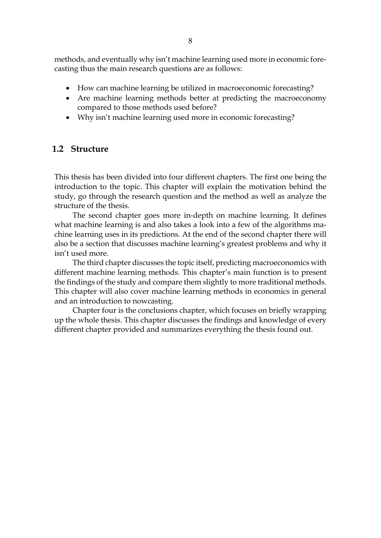methods, and eventually why isn't machine learning used more in economic forecasting thus the main research questions are as follows:

- How can machine learning be utilized in macroeconomic forecasting?
- Are machine learning methods better at predicting the macroeconomy compared to those methods used before?
- Why isn't machine learning used more in economic forecasting?

### <span id="page-7-0"></span>**1.2 Structure**

This thesis has been divided into four different chapters. The first one being the introduction to the topic. This chapter will explain the motivation behind the study, go through the research question and the method as well as analyze the structure of the thesis.

The second chapter goes more in-depth on machine learning. It defines what machine learning is and also takes a look into a few of the algorithms machine learning uses in its predictions. At the end of the second chapter there will also be a section that discusses machine learning's greatest problems and why it isn't used more.

The third chapter discusses the topic itself, predicting macroeconomics with different machine learning methods. This chapter's main function is to present the findings of the study and compare them slightly to more traditional methods. This chapter will also cover machine learning methods in economics in general and an introduction to nowcasting.

Chapter four is the conclusions chapter, which focuses on briefly wrapping up the whole thesis. This chapter discusses the findings and knowledge of every different chapter provided and summarizes everything the thesis found out.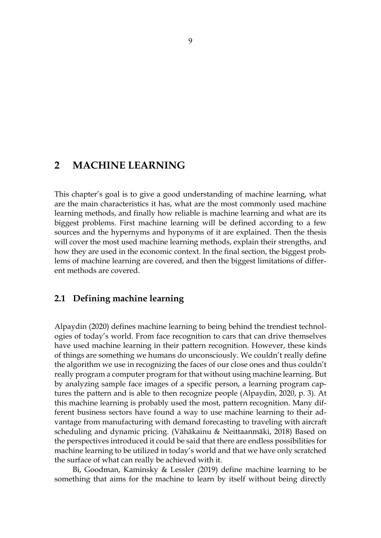## <span id="page-8-0"></span>**2 MACHINE LEARNING**

This chapter's goal is to give a good understanding of machine learning, what are the main characteristics it has, what are the most commonly used machine learning methods, and finally how reliable is machine learning and what are its biggest problems. First machine learning will be defined according to a few sources and the hypernyms and hyponyms of it are explained. Then the thesis will cover the most used machine learning methods, explain their strengths, and how they are used in the economic context. In the final section, the biggest problems of machine learning are covered, and then the biggest limitations of different methods are covered.

## <span id="page-8-1"></span>**2.1 Defining machine learning**

Alpaydin (2020) defines machine learning to being behind the trendiest technologies of today's world. From face recognition to cars that can drive themselves have used machine learning in their pattern recognition. However, these kinds of things are something we humans do unconsciously. We couldn't really define the algorithm we use in recognizing the faces of our close ones and thus couldn't really program a computer program for that without using machine learning. But by analyzing sample face images of a specific person, a learning program captures the pattern and is able to then recognize people (Alpaydin, 2020, p. 3). At this machine learning is probably used the most, pattern recognition. Many different business sectors have found a way to use machine learning to their advantage from manufacturing with demand forecasting to traveling with aircraft scheduling and dynamic pricing. (Vähäkainu & Neittaanmäki, 2018) Based on the perspectives introduced it could be said that there are endless possibilities for machine learning to be utilized in today's world and that we have only scratched the surface of what can really be achieved with it.

Bi, Goodman, Kaminsky & Lessler (2019) define machine learning to be something that aims for the machine to learn by itself without being directly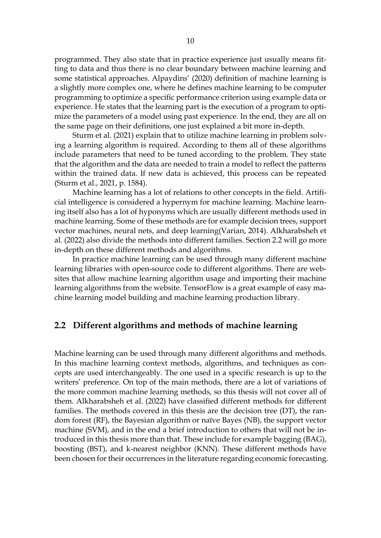programmed. They also state that in practice experience just usually means fitting to data and thus there is no clear boundary between machine learning and some statistical approaches. Alpaydins' (2020) definition of machine learning is a slightly more complex one, where he defines machine learning to be computer programming to optimize a specific performance criterion using example data or experience. He states that the learning part is the execution of a program to optimize the parameters of a model using past experience. In the end, they are all on the same page on their definitions, one just explained a bit more in-depth.

Sturm et al. (2021) explain that to utilize machine learning in problem solving a learning algorithm is required. According to them all of these algorithms include parameters that need to be tuned according to the problem. They state that the algorithm and the data are needed to train a model to reflect the patterns within the trained data. If new data is achieved, this process can be repeated (Sturm et al., 2021, p. 1584).

Machine learning has a lot of relations to other concepts in the field. Artificial intelligence is considered a hypernym for machine learning. Machine learning itself also has a lot of hyponyms which are usually different methods used in machine learning. Some of these methods are for example decision trees, support vector machines, neural nets, and deep learning(Varian, 2014). Alkharabsheh et al. (2022) also divide the methods into different families. Section 2.2 will go more in-depth on these different methods and algorithms.

In practice machine learning can be used through many different machine learning libraries with open-source code to different algorithms. There are websites that allow machine learning algorithm usage and importing their machine learning algorithms from the website. TensorFlow is a great example of easy machine learning model building and machine learning production library.

### <span id="page-9-0"></span>**2.2 Different algorithms and methods of machine learning**

Machine learning can be used through many different algorithms and methods. In this machine learning context methods, algorithms, and techniques as concepts are used interchangeably. The one used in a specific research is up to the writers' preference. On top of the main methods, there are a lot of variations of the more common machine learning methods, so this thesis will not cover all of them. Alkharabsheh et al. (2022) have classified different methods for different families. The methods covered in this thesis are the decision tree (DT), the random forest (RF), the Bayesian algorithm or naïve Bayes (NB), the support vector machine (SVM), and in the end a brief introduction to others that will not be introduced in this thesis more than that. These include for example bagging (BAG), boosting (BST), and k-nearest neighbor (KNN). These different methods have been chosen for their occurrences in the literature regarding economic forecasting.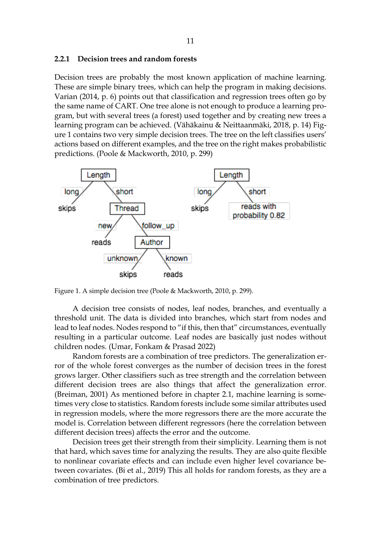#### <span id="page-10-1"></span>**2.2.1 Decision trees and random forests**

Decision trees are probably the most known application of machine learning. These are simple binary trees, which can help the program in making decisions. Varian (2014, p. 6) points out that classification and regression trees often go by the same name of CART. One tree alone is not enough to produce a learning program, but with several trees (a forest) used together and by creating new trees a learning program can be achieved. (Vähäkainu & Neittaanmäki, 2018, p. 14) Figure 1 contains two very simple decision trees. The tree on the left classifies users' actions based on different examples, and the tree on the right makes probabilistic predictions. (Poole & Mackworth, 2010, p. 299)



<span id="page-10-0"></span>Figure 1. A simple decision tree (Poole & Mackworth, 2010, p. 299).

A decision tree consists of nodes, leaf nodes, branches, and eventually a threshold unit. The data is divided into branches, which start from nodes and lead to leaf nodes. Nodes respond to "if this, then that" circumstances, eventually resulting in a particular outcome. Leaf nodes are basically just nodes without children nodes. (Umar, Fonkam & Prasad 2022)

Random forests are a combination of tree predictors. The generalization error of the whole forest converges as the number of decision trees in the forest grows larger. Other classifiers such as tree strength and the correlation between different decision trees are also things that affect the generalization error. (Breiman, 2001) As mentioned before in chapter 2.1, machine learning is sometimes very close to statistics. Random forests include some similar attributes used in regression models, where the more regressors there are the more accurate the model is. Correlation between different regressors (here the correlation between different decision trees) affects the error and the outcome.

Decision trees get their strength from their simplicity. Learning them is not that hard, which saves time for analyzing the results. They are also quite flexible to nonlinear covariate effects and can include even higher level covariance between covariates. (Bi et al., 2019) This all holds for random forests, as they are a combination of tree predictors.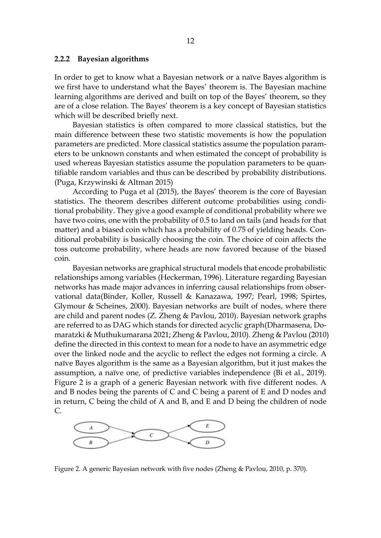#### <span id="page-11-1"></span>**2.2.2 Bayesian algorithms**

In order to get to know what a Bayesian network or a naïve Bayes algorithm is we first have to understand what the Bayes' theorem is. The Bayesian machine learning algorithms are derived and built on top of the Bayes' theorem, so they are of a close relation. The Bayes' theorem is a key concept of Bayesian statistics which will be described briefly next.

Bayesian statistics is often compared to more classical statistics, but the main difference between these two statistic movements is how the population parameters are predicted. More classical statistics assume the population parameters to be unknown constants and when estimated the concept of probability is used whereas Bayesian statistics assume the population parameters to be quantifiable random variables and thus can be described by probability distributions. (Puga, Krzywinski & Altman 2015)

According to Puga et al (2015), the Bayes' theorem is the core of Bayesian statistics. The theorem describes different outcome probabilities using conditional probability. They give a good example of conditional probability where we have two coins, one with the probability of 0.5 to land on tails (and heads for that matter) and a biased coin which has a probability of 0.75 of yielding heads. Conditional probability is basically choosing the coin. The choice of coin affects the toss outcome probability, where heads are now favored because of the biased coin.

Bayesian networks are graphical structural models that encode probabilistic relationships among variables (Heckerman, 1996). Literature regarding Bayesian networks has made major advances in inferring causal relationships from observational data(Binder, Koller, Russell & Kanazawa, 1997; Pearl, 1998; Spirtes, Glymour & Scheines, 2000). Bayesian networks are built of nodes, where there are child and parent nodes (Z. Zheng & Pavlou, 2010). Bayesian network graphs are referred to as DAG which stands for directed acyclic graph(Dharmasena, Domaratzki & Muthukumarana 2021; Zheng & Pavlou, 2010). Zheng & Pavlou (2010) define the directed in this context to mean for a node to have an asymmetric edge over the linked node and the acyclic to reflect the edges not forming a circle. A naïve Bayes algorithm is the same as a Bayesian algorithm, but it just makes the assumption, a naïve one, of predictive variables independence (Bi et al., 2019). Figure 2 is a graph of a generic Bayesian network with five different nodes. A and B nodes being the parents of C and C being a parent of E and D nodes and in return, C being the child of A and B, and E and D being the children of node C.



<span id="page-11-0"></span>Figure 2. A generic Bayesian network with five nodes (Zheng & Pavlou, 2010, p. 370).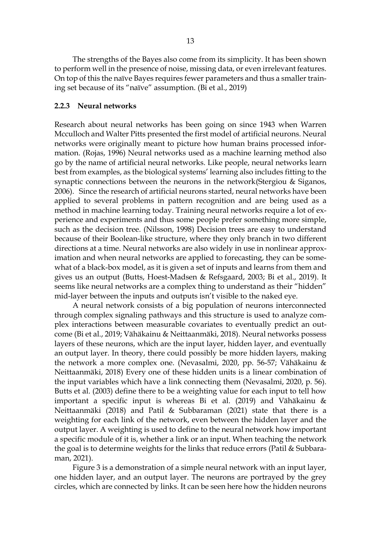The strengths of the Bayes also come from its simplicity. It has been shown to perform well in the presence of noise, missing data, or even irrelevant features. On top of this the naïve Bayes requires fewer parameters and thus a smaller training set because of its "naïve" assumption. (Bi et al., 2019)

#### <span id="page-12-0"></span>**2.2.3 Neural networks**

Research about neural networks has been going on since 1943 when Warren Mcculloch and Walter Pitts presented the first model of artificial neurons. Neural networks were originally meant to picture how human brains processed information. (Rojas, 1996) Neural networks used as a machine learning method also go by the name of artificial neural networks. Like people, neural networks learn best from examples, as the biological systems' learning also includes fitting to the synaptic connections between the neurons in the network(Stergiou & Siganos, 2006). Since the research of artificial neurons started, neural networks have been applied to several problems in pattern recognition and are being used as a method in machine learning today. Training neural networks require a lot of experience and experiments and thus some people prefer something more simple, such as the decision tree. (Nilsson, 1998) Decision trees are easy to understand because of their Boolean-like structure, where they only branch in two different directions at a time. Neural networks are also widely in use in nonlinear approximation and when neural networks are applied to forecasting, they can be somewhat of a black-box model, as it is given a set of inputs and learns from them and gives us an output (Butts, Hoest-Madsen & Refsgaard, 2003; Bi et al., 2019). It seems like neural networks are a complex thing to understand as their "hidden" mid-layer between the inputs and outputs isn't visible to the naked eye.

A neural network consists of a big population of neurons interconnected through complex signaling pathways and this structure is used to analyze complex interactions between measurable covariates to eventually predict an outcome (Bi et al., 2019; Vähäkainu & Neittaanmäki, 2018). Neural networks possess layers of these neurons, which are the input layer, hidden layer, and eventually an output layer. In theory, there could possibly be more hidden layers, making the network a more complex one. (Nevasalmi, 2020, pp. 56-57; Vähäkainu & Neittaanmäki, 2018) Every one of these hidden units is a linear combination of the input variables which have a link connecting them (Nevasalmi, 2020, p. 56). Butts et al. (2003) define there to be a weighting value for each input to tell how important a specific input is whereas Bi et al. (2019) and Vähäkainu & Neittaanmäki (2018) and Patil & Subbaraman (2021) state that there is a weighting for each link of the network, even between the hidden layer and the output layer. A weighting is used to define to the neural network how important a specific module of it is, whether a link or an input. When teaching the network the goal is to determine weights for the links that reduce errors (Patil & Subbaraman, 2021).

Figure 3 is a demonstration of a simple neural network with an input layer, one hidden layer, and an output layer. The neurons are portrayed by the grey circles, which are connected by links. It can be seen here how the hidden neurons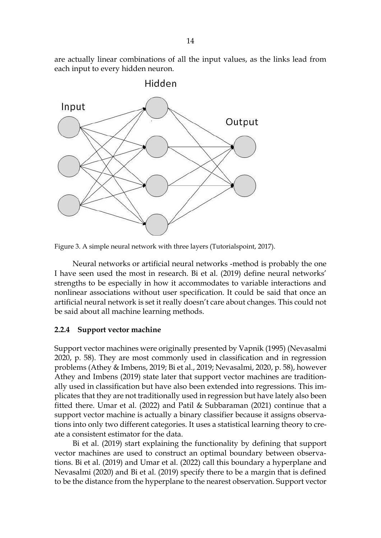are actually linear combinations of all the input values, as the links lead from each input to every hidden neuron.



<span id="page-13-0"></span>Figure 3. A simple neural network with three layers (Tutorialspoint, 2017).

Neural networks or artificial neural networks -method is probably the one I have seen used the most in research. Bi et al. (2019) define neural networks' strengths to be especially in how it accommodates to variable interactions and nonlinear associations without user specification. It could be said that once an artificial neural network is set it really doesn't care about changes. This could not be said about all machine learning methods.

### <span id="page-13-1"></span>**2.2.4 Support vector machine**

Support vector machines were originally presented by Vapnik (1995) (Nevasalmi 2020, p. 58). They are most commonly used in classification and in regression problems (Athey & Imbens, 2019; Bi et al., 2019; Nevasalmi, 2020, p. 58), however Athey and Imbens (2019) state later that support vector machines are traditionally used in classification but have also been extended into regressions. This implicates that they are not traditionally used in regression but have lately also been fitted there. Umar et al. (2022) and Patil & Subbaraman (2021) continue that a support vector machine is actually a binary classifier because it assigns observations into only two different categories. It uses a statistical learning theory to create a consistent estimator for the data.

Bi et al. (2019) start explaining the functionality by defining that support vector machines are used to construct an optimal boundary between observations. Bi et al. (2019) and Umar et al. (2022) call this boundary a hyperplane and Nevasalmi (2020) and Bi et al. (2019) specify there to be a margin that is defined to be the distance from the hyperplane to the nearest observation. Support vector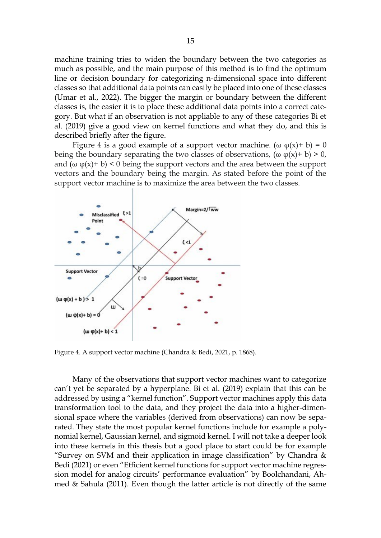machine training tries to widen the boundary between the two categories as much as possible, and the main purpose of this method is to find the optimum line or decision boundary for categorizing n-dimensional space into different classes so that additional data points can easily be placed into one of these classes (Umar et al., 2022). The bigger the margin or boundary between the different classes is, the easier it is to place these additional data points into a correct category. But what if an observation is not appliable to any of these categories Bi et al. (2019) give a good view on kernel functions and what they do, and this is described briefly after the figure.

Figure 4 is a good example of a support vector machine. ( $\omega \varphi(x) + b$ ) = 0 being the boundary separating the two classes of observations, ( $\omega \varphi(x) + b$ ) > 0, and  $(\omega \varphi(x) + b) < 0$  being the support vectors and the area between the support vectors and the boundary being the margin. As stated before the point of the support vector machine is to maximize the area between the two classes.



<span id="page-14-0"></span>Figure 4. A support vector machine (Chandra & Bedi, 2021, p. 1868).

Many of the observations that support vector machines want to categorize can't yet be separated by a hyperplane. Bi et al. (2019) explain that this can be addressed by using a "kernel function". Support vector machines apply this data transformation tool to the data, and they project the data into a higher-dimensional space where the variables (derived from observations) can now be separated. They state the most popular kernel functions include for example a polynomial kernel, Gaussian kernel, and sigmoid kernel. I will not take a deeper look into these kernels in this thesis but a good place to start could be for example "Survey on SVM and their application in image classification" by Chandra  $\&$ Bedi (2021) or even "Efficient kernel functions for support vector machine regression model for analog circuits' performance evaluation" by Boolchandani, Ahmed & Sahula (2011). Even though the latter article is not directly of the same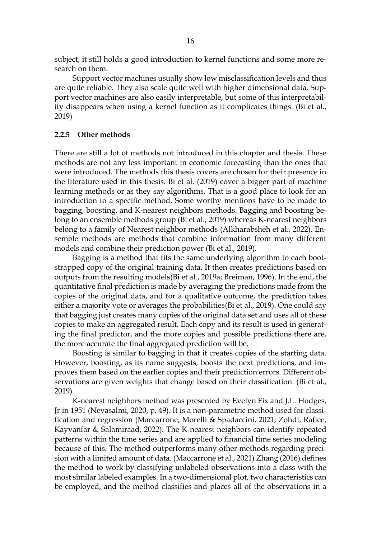subject, it still holds a good introduction to kernel functions and some more research on them.

Support vector machines usually show low misclassification levels and thus are quite reliable. They also scale quite well with higher dimensional data. Support vector machines are also easily interpretable, but some of this interpretability disappears when using a kernel function as it complicates things. (Bi et al., 2019)

#### <span id="page-15-0"></span>**2.2.5 Other methods**

There are still a lot of methods not introduced in this chapter and thesis. These methods are not any less important in economic forecasting than the ones that were introduced. The methods this thesis covers are chosen for their presence in the literature used in this thesis. Bi et al. (2019) cover a bigger part of machine learning methods or as they say algorithms. That is a good place to look for an introduction to a specific method. Some worthy mentions have to be made to bagging, boosting, and K-nearest neighbors methods. Bagging and boosting belong to an ensemble methods group (Bi et al., 2019) whereas K-nearest neighbors belong to a family of Nearest neighbor methods (Alkharabsheh et al., 2022). Ensemble methods are methods that combine information from many different models and combine their prediction power (Bi et al., 2019).

Bagging is a method that fits the same underlying algorithm to each bootstrapped copy of the original training data. It then creates predictions based on outputs from the resulting models(Bi et al., 2019a; Breiman, 1996). In the end, the quantitative final prediction is made by averaging the predictions made from the copies of the original data, and for a qualitative outcome, the prediction takes either a majority vote or averages the probabilities(Bi et al., 2019). One could say that bagging just creates many copies of the original data set and uses all of these copies to make an aggregated result. Each copy and its result is used in generating the final predictor, and the more copies and possible predictions there are, the more accurate the final aggregated prediction will be.

Boosting is similar to bagging in that it creates copies of the starting data. However, boosting, as its name suggests, boosts the next predictions, and improves them based on the earlier copies and their prediction errors. Different observations are given weights that change based on their classification. (Bi et al., 2019)

K-nearest neighbors method was presented by Evelyn Fix and J.L. Hodges, Jr in 1951 (Nevasalmi, 2020, p. 49). It is a non-parametric method used for classification and regression (Maccarrone, Morelli & Spadaccini, 2021; Zohdi, Rafiee, Kayvanfar & Salamiraad, 2022). The K-nearest neighbors can identify repeated patterns within the time series and are applied to financial time series modeling because of this. The method outperforms many other methods regarding precision with a limited amount of data. (Maccarrone et al., 2021) Zhang (2016) defines the method to work by classifying unlabeled observations into a class with the most similar labeled examples. In a two-dimensional plot, two characteristics can be employed, and the method classifies and places all of the observations in a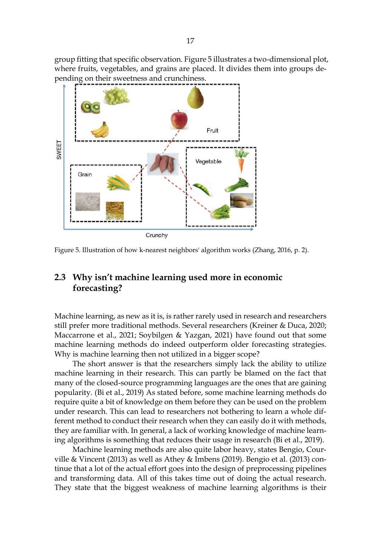group fitting that specific observation. Figure 5 illustrates a two-dimensional plot, where fruits, vegetables, and grains are placed. It divides them into groups depending on their sweetness and crunchiness.



<span id="page-16-0"></span>

## <span id="page-16-1"></span>**2.3 Why isn't machine learning used more in economic forecasting?**

Machine learning, as new as it is, is rather rarely used in research and researchers still prefer more traditional methods. Several researchers (Kreiner & Duca, 2020; Maccarrone et al., 2021; Soybilgen & Yazgan, 2021) have found out that some machine learning methods do indeed outperform older forecasting strategies. Why is machine learning then not utilized in a bigger scope?

The short answer is that the researchers simply lack the ability to utilize machine learning in their research. This can partly be blamed on the fact that many of the closed-source programming languages are the ones that are gaining popularity. (Bi et al., 2019) As stated before, some machine learning methods do require quite a bit of knowledge on them before they can be used on the problem under research. This can lead to researchers not bothering to learn a whole different method to conduct their research when they can easily do it with methods, they are familiar with. In general, a lack of working knowledge of machine learning algorithms is something that reduces their usage in research (Bi et al., 2019).

Machine learning methods are also quite labor heavy, states Bengio, Courville & Vincent (2013) as well as Athey & Imbens (2019). Bengio et al. (2013) continue that a lot of the actual effort goes into the design of preprocessing pipelines and transforming data. All of this takes time out of doing the actual research. They state that the biggest weakness of machine learning algorithms is their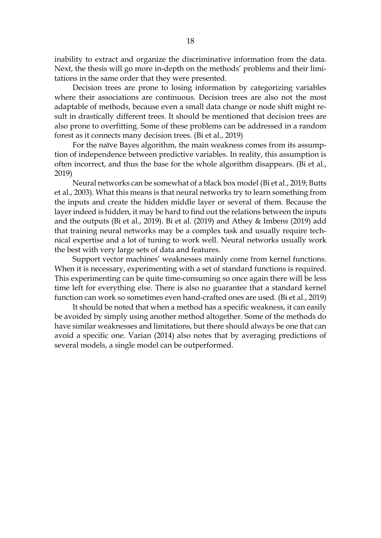inability to extract and organize the discriminative information from the data. Next, the thesis will go more in-depth on the methods' problems and their limitations in the same order that they were presented.

Decision trees are prone to losing information by categorizing variables where their associations are continuous. Decision trees are also not the most adaptable of methods, because even a small data change or node shift might result in drastically different trees. It should be mentioned that decision trees are also prone to overfitting. Some of these problems can be addressed in a random forest as it connects many decision trees. (Bi et al., 2019)

For the naïve Bayes algorithm, the main weakness comes from its assumption of independence between predictive variables. In reality, this assumption is often incorrect, and thus the base for the whole algorithm disappears. (Bi et al., 2019)

Neural networks can be somewhat of a black box model (Bi et al., 2019; Butts et al., 2003). What this means is that neural networks try to learn something from the inputs and create the hidden middle layer or several of them. Because the layer indeed is hidden, it may be hard to find out the relations between the inputs and the outputs (Bi et al., 2019). Bi et al. (2019) and Athey & Imbens (2019) add that training neural networks may be a complex task and usually require technical expertise and a lot of tuning to work well. Neural networks usually work the best with very large sets of data and features.

Support vector machines' weaknesses mainly come from kernel functions. When it is necessary, experimenting with a set of standard functions is required. This experimenting can be quite time-consuming so once again there will be less time left for everything else. There is also no guarantee that a standard kernel function can work so sometimes even hand-crafted ones are used. (Bi et al., 2019)

It should be noted that when a method has a specific weakness, it can easily be avoided by simply using another method altogether. Some of the methods do have similar weaknesses and limitations, but there should always be one that can avoid a specific one. Varian (2014) also notes that by averaging predictions of several models, a single model can be outperformed.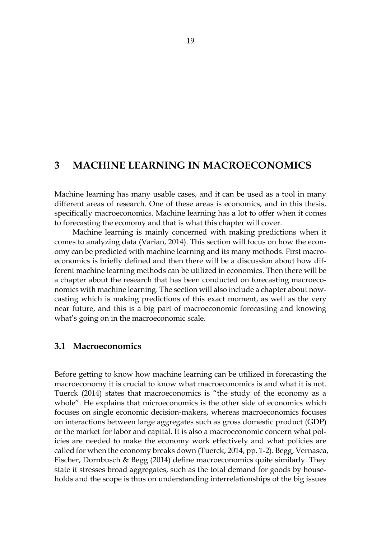## <span id="page-18-0"></span>**3 MACHINE LEARNING IN MACROECONOMICS**

Machine learning has many usable cases, and it can be used as a tool in many different areas of research. One of these areas is economics, and in this thesis, specifically macroeconomics. Machine learning has a lot to offer when it comes to forecasting the economy and that is what this chapter will cover.

Machine learning is mainly concerned with making predictions when it comes to analyzing data (Varian, 2014). This section will focus on how the economy can be predicted with machine learning and its many methods. First macroeconomics is briefly defined and then there will be a discussion about how different machine learning methods can be utilized in economics. Then there will be a chapter about the research that has been conducted on forecasting macroeconomics with machine learning. The section will also include a chapter about nowcasting which is making predictions of this exact moment, as well as the very near future, and this is a big part of macroeconomic forecasting and knowing what's going on in the macroeconomic scale.

### <span id="page-18-1"></span>**3.1 Macroeconomics**

Before getting to know how machine learning can be utilized in forecasting the macroeconomy it is crucial to know what macroeconomics is and what it is not. Tuerck (2014) states that macroeconomics is "the study of the economy as a whole". He explains that microeconomics is the other side of economics which focuses on single economic decision-makers, whereas macroeconomics focuses on interactions between large aggregates such as gross domestic product (GDP) or the market for labor and capital. It is also a macroeconomic concern what policies are needed to make the economy work effectively and what policies are called for when the economy breaks down (Tuerck, 2014, pp. 1-2). Begg, Vernasca, Fischer, Dornbusch & Begg (2014) define macroeconomics quite similarly. They state it stresses broad aggregates, such as the total demand for goods by households and the scope is thus on understanding interrelationships of the big issues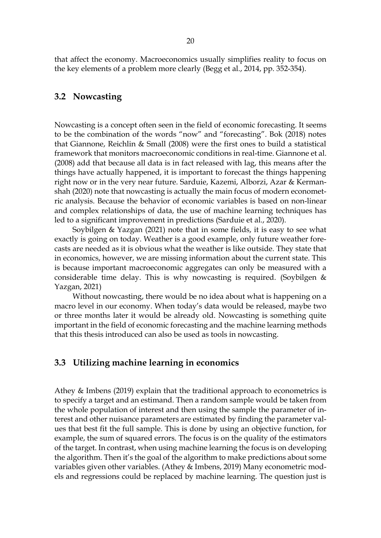<span id="page-19-0"></span>that affect the economy. Macroeconomics usually simplifies reality to focus on the key elements of a problem more clearly (Begg et al., 2014, pp. 352-354).

### **3.2 Nowcasting**

Nowcasting is a concept often seen in the field of economic forecasting. It seems to be the combination of the words "now" and "forecasting". Bok (2018) notes that Giannone, Reichlin & Small (2008) were the first ones to build a statistical framework that monitors macroeconomic conditions in real-time. Giannone et al. (2008) add that because all data is in fact released with lag, this means after the things have actually happened, it is important to forecast the things happening right now or in the very near future. Sarduie, Kazemi, Alborzi, Azar & Kermanshah (2020) note that nowcasting is actually the main focus of modern econometric analysis. Because the behavior of economic variables is based on non-linear and complex relationships of data, the use of machine learning techniques has led to a significant improvement in predictions (Sarduie et al., 2020).

Soybilgen & Yazgan (2021) note that in some fields, it is easy to see what exactly is going on today. Weather is a good example, only future weather forecasts are needed as it is obvious what the weather is like outside. They state that in economics, however, we are missing information about the current state. This is because important macroeconomic aggregates can only be measured with a considerable time delay. This is why nowcasting is required. (Soybilgen & Yazgan, 2021)

Without nowcasting, there would be no idea about what is happening on a macro level in our economy. When today's data would be released, maybe two or three months later it would be already old. Nowcasting is something quite important in the field of economic forecasting and the machine learning methods that this thesis introduced can also be used as tools in nowcasting.

## <span id="page-19-1"></span>**3.3 Utilizing machine learning in economics**

Athey & Imbens (2019) explain that the traditional approach to econometrics is to specify a target and an estimand. Then a random sample would be taken from the whole population of interest and then using the sample the parameter of interest and other nuisance parameters are estimated by finding the parameter values that best fit the full sample. This is done by using an objective function, for example, the sum of squared errors. The focus is on the quality of the estimators of the target. In contrast, when using machine learning the focus is on developing the algorithm. Then it's the goal of the algorithm to make predictions about some variables given other variables. (Athey & Imbens, 2019) Many econometric models and regressions could be replaced by machine learning. The question just is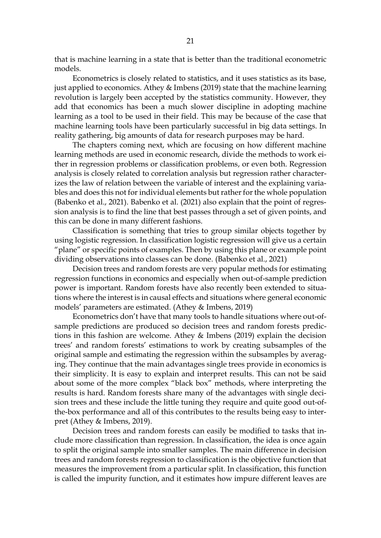that is machine learning in a state that is better than the traditional econometric models.

Econometrics is closely related to statistics, and it uses statistics as its base, just applied to economics. Athey & Imbens (2019) state that the machine learning revolution is largely been accepted by the statistics community. However, they add that economics has been a much slower discipline in adopting machine learning as a tool to be used in their field. This may be because of the case that machine learning tools have been particularly successful in big data settings. In reality gathering, big amounts of data for research purposes may be hard.

The chapters coming next, which are focusing on how different machine learning methods are used in economic research, divide the methods to work either in regression problems or classification problems, or even both. Regression analysis is closely related to correlation analysis but regression rather characterizes the law of relation between the variable of interest and the explaining variables and does this not for individual elements but rather for the whole population (Babenko et al., 2021). Babenko et al. (2021) also explain that the point of regression analysis is to find the line that best passes through a set of given points, and this can be done in many different fashions.

Classification is something that tries to group similar objects together by using logistic regression. In classification logistic regression will give us a certain "plane" or specific points of examples. Then by using this plane or example point dividing observations into classes can be done. (Babenko et al., 2021)

Decision trees and random forests are very popular methods for estimating regression functions in economics and especially when out-of-sample prediction power is important. Random forests have also recently been extended to situations where the interest is in causal effects and situations where general economic models' parameters are estimated. (Athey & Imbens, 2019)

Econometrics don't have that many tools to handle situations where out-ofsample predictions are produced so decision trees and random forests predictions in this fashion are welcome. Athey & Imbens (2019) explain the decision trees' and random forests' estimations to work by creating subsamples of the original sample and estimating the regression within the subsamples by averaging. They continue that the main advantages single trees provide in economics is their simplicity. It is easy to explain and interpret results. This can not be said about some of the more complex "black box" methods, where interpreting the results is hard. Random forests share many of the advantages with single decision trees and these include the little tuning they require and quite good out-ofthe-box performance and all of this contributes to the results being easy to interpret (Athey & Imbens, 2019).

Decision trees and random forests can easily be modified to tasks that include more classification than regression. In classification, the idea is once again to split the original sample into smaller samples. The main difference in decision trees and random forests regression to classification is the objective function that measures the improvement from a particular split. In classification, this function is called the impurity function, and it estimates how impure different leaves are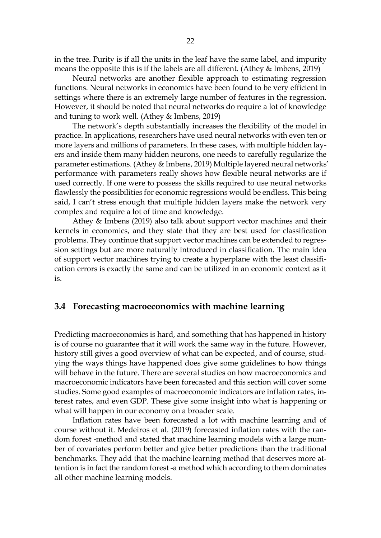in the tree. Purity is if all the units in the leaf have the same label, and impurity means the opposite this is if the labels are all different. (Athey & Imbens, 2019)

Neural networks are another flexible approach to estimating regression functions. Neural networks in economics have been found to be very efficient in settings where there is an extremely large number of features in the regression. However, it should be noted that neural networks do require a lot of knowledge and tuning to work well. (Athey & Imbens, 2019)

The network's depth substantially increases the flexibility of the model in practice. In applications, researchers have used neural networks with even ten or more layers and millions of parameters. In these cases, with multiple hidden layers and inside them many hidden neurons, one needs to carefully regularize the parameter estimations. (Athey & Imbens, 2019) Multiple layered neural networks' performance with parameters really shows how flexible neural networks are if used correctly. If one were to possess the skills required to use neural networks flawlessly the possibilities for economic regressions would be endless. This being said, I can't stress enough that multiple hidden layers make the network very complex and require a lot of time and knowledge.

Athey & Imbens (2019) also talk about support vector machines and their kernels in economics, and they state that they are best used for classification problems. They continue that support vector machines can be extended to regression settings but are more naturally introduced in classification. The main idea of support vector machines trying to create a hyperplane with the least classification errors is exactly the same and can be utilized in an economic context as it is.

### <span id="page-21-0"></span>**3.4 Forecasting macroeconomics with machine learning**

Predicting macroeconomics is hard, and something that has happened in history is of course no guarantee that it will work the same way in the future. However, history still gives a good overview of what can be expected, and of course, studying the ways things have happened does give some guidelines to how things will behave in the future. There are several studies on how macroeconomics and macroeconomic indicators have been forecasted and this section will cover some studies. Some good examples of macroeconomic indicators are inflation rates, interest rates, and even GDP. These give some insight into what is happening or what will happen in our economy on a broader scale.

Inflation rates have been forecasted a lot with machine learning and of course without it. Medeiros et al. (2019) forecasted inflation rates with the random forest -method and stated that machine learning models with a large number of covariates perform better and give better predictions than the traditional benchmarks. They add that the machine learning method that deserves more attention is in fact the random forest -a method which according to them dominates all other machine learning models.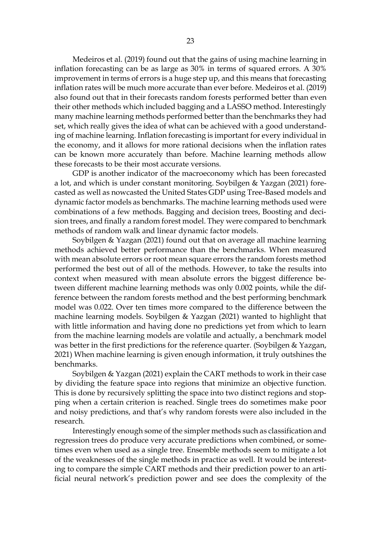Medeiros et al. (2019) found out that the gains of using machine learning in inflation forecasting can be as large as 30% in terms of squared errors. A 30% improvement in terms of errors is a huge step up, and this means that forecasting inflation rates will be much more accurate than ever before. Medeiros et al. (2019) also found out that in their forecasts random forests performed better than even their other methods which included bagging and a LASSO method. Interestingly many machine learning methods performed better than the benchmarks they had set, which really gives the idea of what can be achieved with a good understanding of machine learning. Inflation forecasting is important for every individual in the economy, and it allows for more rational decisions when the inflation rates can be known more accurately than before. Machine learning methods allow these forecasts to be their most accurate versions.

GDP is another indicator of the macroeconomy which has been forecasted a lot, and which is under constant monitoring. Soybilgen & Yazgan (2021) forecasted as well as nowcasted the United States GDP using Tree-Based models and dynamic factor models as benchmarks. The machine learning methods used were combinations of a few methods. Bagging and decision trees, Boosting and decision trees, and finally a random forest model. They were compared to benchmark methods of random walk and linear dynamic factor models.

Soybilgen & Yazgan (2021) found out that on average all machine learning methods achieved better performance than the benchmarks. When measured with mean absolute errors or root mean square errors the random forests method performed the best out of all of the methods. However, to take the results into context when measured with mean absolute errors the biggest difference between different machine learning methods was only 0.002 points, while the difference between the random forests method and the best performing benchmark model was 0.022. Over ten times more compared to the difference between the machine learning models. Soybilgen & Yazgan (2021) wanted to highlight that with little information and having done no predictions yet from which to learn from the machine learning models are volatile and actually, a benchmark model was better in the first predictions for the reference quarter. (Soybilgen & Yazgan, 2021) When machine learning is given enough information, it truly outshines the benchmarks.

Soybilgen & Yazgan (2021) explain the CART methods to work in their case by dividing the feature space into regions that minimize an objective function. This is done by recursively splitting the space into two distinct regions and stopping when a certain criterion is reached. Single trees do sometimes make poor and noisy predictions, and that's why random forests were also included in the research.

Interestingly enough some of the simpler methods such as classification and regression trees do produce very accurate predictions when combined, or sometimes even when used as a single tree. Ensemble methods seem to mitigate a lot of the weaknesses of the single methods in practice as well. It would be interesting to compare the simple CART methods and their prediction power to an artificial neural network's prediction power and see does the complexity of the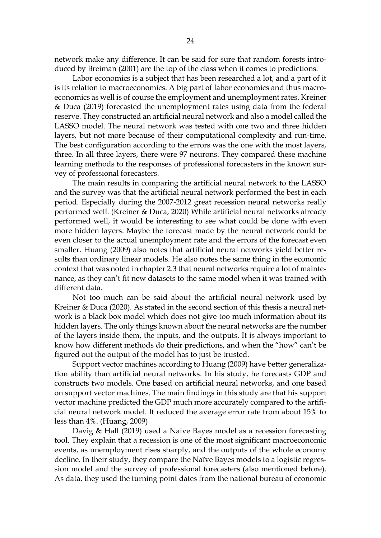network make any difference. It can be said for sure that random forests introduced by Breiman (2001) are the top of the class when it comes to predictions.

Labor economics is a subject that has been researched a lot, and a part of it is its relation to macroeconomics. A big part of labor economics and thus macroeconomics as well is of course the employment and unemployment rates. Kreiner & Duca (2019) forecasted the unemployment rates using data from the federal reserve. They constructed an artificial neural network and also a model called the LASSO model. The neural network was tested with one two and three hidden layers, but not more because of their computational complexity and run-time. The best configuration according to the errors was the one with the most layers, three. In all three layers, there were 97 neurons. They compared these machine learning methods to the responses of professional forecasters in the known survey of professional forecasters.

The main results in comparing the artificial neural network to the LASSO and the survey was that the artificial neural network performed the best in each period. Especially during the 2007-2012 great recession neural networks really performed well. (Kreiner & Duca, 2020) While artificial neural networks already performed well, it would be interesting to see what could be done with even more hidden layers. Maybe the forecast made by the neural network could be even closer to the actual unemployment rate and the errors of the forecast even smaller. Huang (2009) also notes that artificial neural networks yield better results than ordinary linear models. He also notes the same thing in the economic context that was noted in chapter 2.3 that neural networks require a lot of maintenance, as they can't fit new datasets to the same model when it was trained with different data.

Not too much can be said about the artificial neural network used by Kreiner & Duca (2020). As stated in the second section of this thesis a neural network is a black box model which does not give too much information about its hidden layers. The only things known about the neural networks are the number of the layers inside them, the inputs, and the outputs. It is always important to know how different methods do their predictions, and when the "how" can't be figured out the output of the model has to just be trusted.

Support vector machines according to Huang (2009) have better generalization ability than artificial neural networks. In his study, he forecasts GDP and constructs two models. One based on artificial neural networks, and one based on support vector machines. The main findings in this study are that his support vector machine predicted the GDP much more accurately compared to the artificial neural network model. It reduced the average error rate from about 15% to less than 4%. (Huang, 2009)

Davig & Hall (2019) used a Naïve Bayes model as a recession forecasting tool. They explain that a recession is one of the most significant macroeconomic events, as unemployment rises sharply, and the outputs of the whole economy decline. In their study, they compare the Naïve Bayes models to a logistic regression model and the survey of professional forecasters (also mentioned before). As data, they used the turning point dates from the national bureau of economic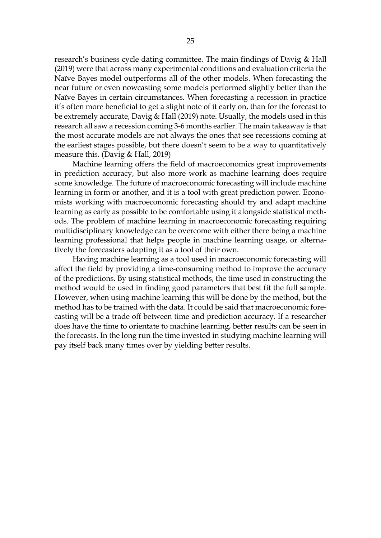research's business cycle dating committee. The main findings of Davig & Hall (2019) were that across many experimental conditions and evaluation criteria the Naïve Bayes model outperforms all of the other models. When forecasting the near future or even nowcasting some models performed slightly better than the Naïve Bayes in certain circumstances. When forecasting a recession in practice it's often more beneficial to get a slight note of it early on, than for the forecast to be extremely accurate, Davig & Hall (2019) note. Usually, the models used in this research all saw a recession coming 3-6 months earlier. The main takeaway is that the most accurate models are not always the ones that see recessions coming at the earliest stages possible, but there doesn't seem to be a way to quantitatively measure this. (Davig & Hall, 2019)

Machine learning offers the field of macroeconomics great improvements in prediction accuracy, but also more work as machine learning does require some knowledge. The future of macroeconomic forecasting will include machine learning in form or another, and it is a tool with great prediction power. Economists working with macroeconomic forecasting should try and adapt machine learning as early as possible to be comfortable using it alongside statistical methods. The problem of machine learning in macroeconomic forecasting requiring multidisciplinary knowledge can be overcome with either there being a machine learning professional that helps people in machine learning usage, or alternatively the forecasters adapting it as a tool of their own.

Having machine learning as a tool used in macroeconomic forecasting will affect the field by providing a time-consuming method to improve the accuracy of the predictions. By using statistical methods, the time used in constructing the method would be used in finding good parameters that best fit the full sample. However, when using machine learning this will be done by the method, but the method has to be trained with the data. It could be said that macroeconomic forecasting will be a trade off between time and prediction accuracy. If a researcher does have the time to orientate to machine learning, better results can be seen in the forecasts. In the long run the time invested in studying machine learning will pay itself back many times over by yielding better results.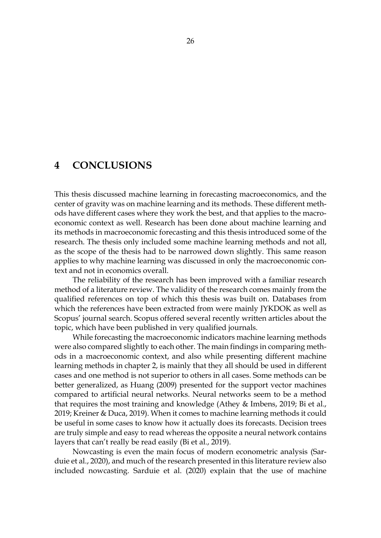## <span id="page-25-0"></span>**4 CONCLUSIONS**

This thesis discussed machine learning in forecasting macroeconomics, and the center of gravity was on machine learning and its methods. These different methods have different cases where they work the best, and that applies to the macroeconomic context as well. Research has been done about machine learning and its methods in macroeconomic forecasting and this thesis introduced some of the research. The thesis only included some machine learning methods and not all, as the scope of the thesis had to be narrowed down slightly. This same reason applies to why machine learning was discussed in only the macroeconomic context and not in economics overall.

The reliability of the research has been improved with a familiar research method of a literature review. The validity of the research comes mainly from the qualified references on top of which this thesis was built on. Databases from which the references have been extracted from were mainly JYKDOK as well as Scopus' journal search. Scopus offered several recently written articles about the topic, which have been published in very qualified journals.

While forecasting the macroeconomic indicators machine learning methods were also compared slightly to each other. The main findings in comparing methods in a macroeconomic context, and also while presenting different machine learning methods in chapter 2, is mainly that they all should be used in different cases and one method is not superior to others in all cases. Some methods can be better generalized, as Huang (2009) presented for the support vector machines compared to artificial neural networks. Neural networks seem to be a method that requires the most training and knowledge (Athey & Imbens, 2019; Bi et al., 2019; Kreiner & Duca, 2019). When it comes to machine learning methods it could be useful in some cases to know how it actually does its forecasts. Decision trees are truly simple and easy to read whereas the opposite a neural network contains layers that can't really be read easily (Bi et al., 2019).

Nowcasting is even the main focus of modern econometric analysis (Sarduie et al., 2020), and much of the research presented in this literature review also included nowcasting. Sarduie et al. (2020) explain that the use of machine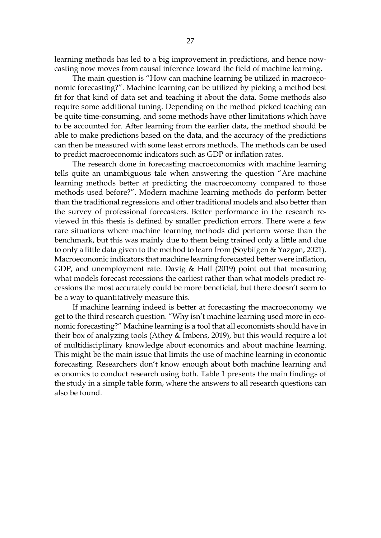learning methods has led to a big improvement in predictions, and hence nowcasting now moves from causal inference toward the field of machine learning.

The main question is "How can machine learning be utilized in macroeconomic forecasting?". Machine learning can be utilized by picking a method best fit for that kind of data set and teaching it about the data. Some methods also require some additional tuning. Depending on the method picked teaching can be quite time-consuming, and some methods have other limitations which have to be accounted for. After learning from the earlier data, the method should be able to make predictions based on the data, and the accuracy of the predictions can then be measured with some least errors methods. The methods can be used to predict macroeconomic indicators such as GDP or inflation rates.

The research done in forecasting macroeconomics with machine learning tells quite an unambiguous tale when answering the question "Are machine learning methods better at predicting the macroeconomy compared to those methods used before?". Modern machine learning methods do perform better than the traditional regressions and other traditional models and also better than the survey of professional forecasters. Better performance in the research reviewed in this thesis is defined by smaller prediction errors. There were a few rare situations where machine learning methods did perform worse than the benchmark, but this was mainly due to them being trained only a little and due to only a little data given to the method to learn from (Soybilgen & Yazgan, 2021). Macroeconomic indicators that machine learning forecasted better were inflation, GDP, and unemployment rate. Davig & Hall (2019) point out that measuring what models forecast recessions the earliest rather than what models predict recessions the most accurately could be more beneficial, but there doesn't seem to be a way to quantitatively measure this.

If machine learning indeed is better at forecasting the macroeconomy we get to the third research question. "Why isn't machine learning used more in economic forecasting?" Machine learning is a tool that all economists should have in their box of analyzing tools (Athey & Imbens, 2019), but this would require a lot of multidisciplinary knowledge about economics and about machine learning. This might be the main issue that limits the use of machine learning in economic forecasting. Researchers don't know enough about both machine learning and economics to conduct research using both. Table 1 presents the main findings of the study in a simple table form, where the answers to all research questions can also be found.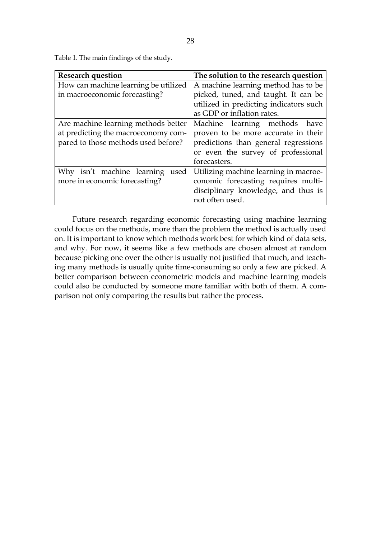<span id="page-27-0"></span>Table 1. The main findings of the study.

| <b>Research question</b>             | The solution to the research question  |
|--------------------------------------|----------------------------------------|
| How can machine learning be utilized | A machine learning method has to be    |
| in macroeconomic forecasting?        | picked, tuned, and taught. It can be   |
|                                      | utilized in predicting indicators such |
|                                      | as GDP or inflation rates.             |
| Are machine learning methods better  | Machine learning methods have          |
| at predicting the macroeconomy com-  | proven to be more accurate in their    |
| pared to those methods used before?  | predictions than general regressions   |
|                                      | or even the survey of professional     |
|                                      | forecasters.                           |
| Why isn't machine learning<br>used   | Utilizing machine learning in macroe-  |
| more in economic forecasting?        | conomic forecasting requires multi-    |
|                                      | disciplinary knowledge, and thus is    |
|                                      | not often used.                        |

Future research regarding economic forecasting using machine learning could focus on the methods, more than the problem the method is actually used on. It is important to know which methods work best for which kind of data sets, and why. For now, it seems like a few methods are chosen almost at random because picking one over the other is usually not justified that much, and teaching many methods is usually quite time-consuming so only a few are picked. A better comparison between econometric models and machine learning models could also be conducted by someone more familiar with both of them. A comparison not only comparing the results but rather the process.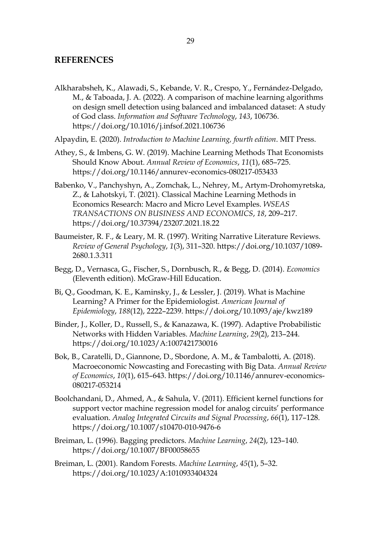### <span id="page-28-0"></span>**REFERENCES**

- Alkharabsheh, K., Alawadi, S., Kebande, V. R., Crespo, Y., Fernández-Delgado, M., & Taboada, J. A. (2022). A comparison of machine learning algorithms on design smell detection using balanced and imbalanced dataset: A study of God class. *Information and Software Technology*, *143*, 106736. https://doi.org/10.1016/j.infsof.2021.106736
- Alpaydin, E. (2020). *Introduction to Machine Learning, fourth edition*. MIT Press.
- Athey, S., & Imbens, G. W. (2019). Machine Learning Methods That Economists Should Know About. *Annual Review of Economics*, *11*(1), 685–725. https://doi.org/10.1146/annurev-economics-080217-053433
- Babenko, V., Panchyshyn, A., Zomchak, L., Nehrey, M., Artym-Drohomyretska, Z., & Lahotskyi, T. (2021). Classical Machine Learning Methods in Economics Research: Macro and Micro Level Examples. *WSEAS TRANSACTIONS ON BUSINESS AND ECONOMICS*, *18*, 209–217. https://doi.org/10.37394/23207.2021.18.22
- Baumeister, R. F., & Leary, M. R. (1997). Writing Narrative Literature Reviews. *Review of General Psychology*, *1*(3), 311–320. https://doi.org/10.1037/1089- 2680.1.3.311
- Begg, D., Vernasca, G., Fischer, S., Dornbusch, R., & Begg, D. (2014). *Economics* (Eleventh edition). McGraw-Hill Education.
- Bi, Q., Goodman, K. E., Kaminsky, J., & Lessler, J. (2019). What is Machine Learning? A Primer for the Epidemiologist. *American Journal of Epidemiology*, *188*(12), 2222–2239. https://doi.org/10.1093/aje/kwz189
- Binder, J., Koller, D., Russell, S., & Kanazawa, K. (1997). Adaptive Probabilistic Networks with Hidden Variables. *Machine Learning*, *29*(2), 213–244. https://doi.org/10.1023/A:1007421730016
- Bok, B., Caratelli, D., Giannone, D., Sbordone, A. M., & Tambalotti, A. (2018). Macroeconomic Nowcasting and Forecasting with Big Data. *Annual Review of Economics*, *10*(1), 615–643. https://doi.org/10.1146/annurev-economics-080217-053214
- Boolchandani, D., Ahmed, A., & Sahula, V. (2011). Efficient kernel functions for support vector machine regression model for analog circuits' performance evaluation. *Analog Integrated Circuits and Signal Processing*, *66*(1), 117–128. https://doi.org/10.1007/s10470-010-9476-6
- Breiman, L. (1996). Bagging predictors. *Machine Learning*, *24*(2), 123–140. https://doi.org/10.1007/BF00058655
- Breiman, L. (2001). Random Forests. *Machine Learning*, *45*(1), 5–32. https://doi.org/10.1023/A:1010933404324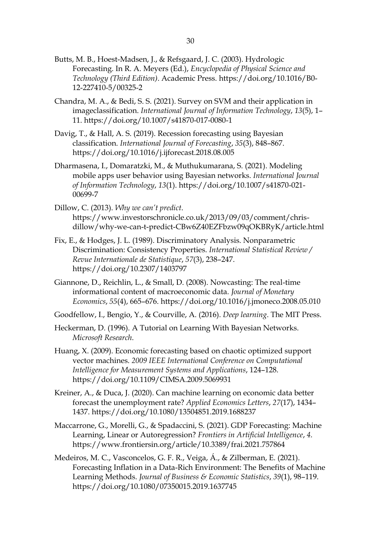- Butts, M. B., Hoest-Madsen, J., & Refsgaard, J. C. (2003). Hydrologic Forecasting. In R. A. Meyers (Ed.), *Encyclopedia of Physical Science and Technology (Third Edition)*. Academic Press. https://doi.org/10.1016/B0- 12-227410-5/00325-2
- Chandra, M. A., & Bedi, S. S. (2021). Survey on SVM and their application in imageclassification. *International Journal of Information Technology*, *13*(5), 1– 11. https://doi.org/10.1007/s41870-017-0080-1
- Davig, T., & Hall, A. S. (2019). Recession forecasting using Bayesian classification. *International Journal of Forecasting*, *35*(3), 848–867. https://doi.org/10.1016/j.ijforecast.2018.08.005
- Dharmasena, I., Domaratzki, M., & Muthukumarana, S. (2021). Modeling mobile apps user behavior using Bayesian networks. *International Journal of Information Technology*, *13*(1). https://doi.org/10.1007/s41870-021- 00699-7
- Dillow, C. (2013). *Why we can't predict*. https://www.investorschronicle.co.uk/2013/09/03/comment/chrisdillow/why-we-can-t-predict-CBw6Z40EZFbzw09qOKBRyK/article.html
- Fix, E., & Hodges, J. L. (1989). Discriminatory Analysis. Nonparametric Discrimination: Consistency Properties. *International Statistical Review / Revue Internationale de Statistique*, *57*(3), 238–247. https://doi.org/10.2307/1403797
- Giannone, D., Reichlin, L., & Small, D. (2008). Nowcasting: The real-time informational content of macroeconomic data. *Journal of Monetary Economics*, *55*(4), 665–676. https://doi.org/10.1016/j.jmoneco.2008.05.010

Goodfellow, I., Bengio, Y., & Courville, A. (2016). *Deep learning*. The MIT Press.

- Heckerman, D. (1996). A Tutorial on Learning With Bayesian Networks. *Microsoft Research*.
- Huang, X. (2009). Economic forecasting based on chaotic optimized support vector machines. *2009 IEEE International Conference on Computational Intelligence for Measurement Systems and Applications*, 124–128. https://doi.org/10.1109/CIMSA.2009.5069931
- Kreiner, A., & Duca, J. (2020). Can machine learning on economic data better forecast the unemployment rate? *Applied Economics Letters*, *27*(17), 1434– 1437. https://doi.org/10.1080/13504851.2019.1688237
- Maccarrone, G., Morelli, G., & Spadaccini, S. (2021). GDP Forecasting: Machine Learning, Linear or Autoregression? *Frontiers in Artificial Intelligence*, *4*. https://www.frontiersin.org/article/10.3389/frai.2021.757864
- Medeiros, M. C., Vasconcelos, G. F. R., Veiga, Á., & Zilberman, E. (2021). Forecasting Inflation in a Data-Rich Environment: The Benefits of Machine Learning Methods. *Journal of Business & Economic Statistics*, *39*(1), 98–119. https://doi.org/10.1080/07350015.2019.1637745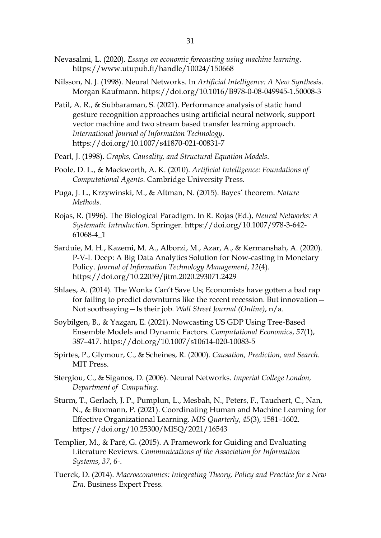- Nevasalmi, L. (2020). *Essays on economic forecasting using machine learning*. https://www.utupub.fi/handle/10024/150668
- Nilsson, N. J. (1998). Neural Networks. In *Artificial Intelligence: A New Synthesis*. Morgan Kaufmann. https://doi.org/10.1016/B978-0-08-049945-1.50008-3
- Patil, A. R., & Subbaraman, S. (2021). Performance analysis of static hand gesture recognition approaches using artificial neural network, support vector machine and two stream based transfer learning approach. *International Journal of Information Technology*. https://doi.org/10.1007/s41870-021-00831-7
- Pearl, J. (1998). *Graphs, Causality, and Structural Equation Models*.
- Poole, D. L., & Mackworth, A. K. (2010). *Artificial Intelligence: Foundations of Computational Agents*. Cambridge University Press.
- Puga, J. L., Krzywinski, M., & Altman, N. (2015). Bayes' theorem. *Nature Methods*.
- Rojas, R. (1996). The Biological Paradigm. In R. Rojas (Ed.), *Neural Networks: A Systematic Introduction*. Springer. https://doi.org/10.1007/978-3-642- 61068-4\_1
- Sarduie, M. H., Kazemi, M. A., Alborzi, M., Azar, A., & Kermanshah, A. (2020). P-V-L Deep: A Big Data Analytics Solution for Now-casting in Monetary Policy. *Journal of Information Technology Management*, *12*(4). https://doi.org/10.22059/jitm.2020.293071.2429
- Shlaes, A. (2014). The Wonks Can't Save Us; Economists have gotten a bad rap for failing to predict downturns like the recent recession. But innovation— Not soothsaying—Is their job. *Wall Street Journal (Online)*, n/a.
- Soybilgen, B., & Yazgan, E. (2021). Nowcasting US GDP Using Tree-Based Ensemble Models and Dynamic Factors. *Computational Economics*, *57*(1), 387–417. https://doi.org/10.1007/s10614-020-10083-5
- Spirtes, P., Glymour, C., & Scheines, R. (2000). *Causation, Prediction, and Search*. MIT Press.
- Stergiou, C., & Siganos, D. (2006). Neural Networks. *Imperial College London, Department of Computing.*
- Sturm, T., Gerlach, J. P., Pumplun, L., Mesbah, N., Peters, F., Tauchert, C., Nan, N., & Buxmann, P. (2021). Coordinating Human and Machine Learning for Effective Organizational Learning. *MIS Quarterly*, *45*(3), 1581–1602. https://doi.org/10.25300/MISQ/2021/16543
- Templier, M., & Paré, G. (2015). A Framework for Guiding and Evaluating Literature Reviews. *Communications of the Association for Information Systems*, *37*, 6-.
- Tuerck, D. (2014). *Macroeconomics: Integrating Theory, Policy and Practice for a New Era*. Business Expert Press.